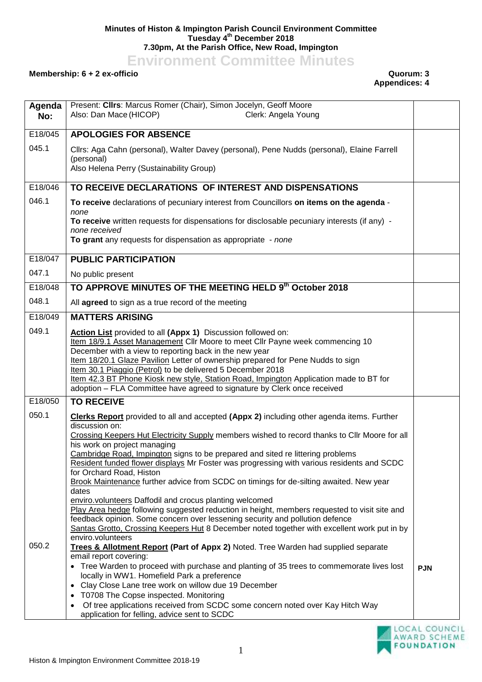## **Minutes of Histon & Impington Parish Council Environment Committee Tuesday 4 th December 2018 7.30pm, At the Parish Office, New Road, Impington**

**Environment Committee Minutes**

## **Membership: 6 + 2 ex-officio Quorum: 3**

**Appendices: 4**

| Agenda<br>No: | Present: Clirs: Marcus Romer (Chair), Simon Jocelyn, Geoff Moore<br>Also: Dan Mace (HICOP)<br>Clerk: Angela Young                                                                                                                                                                                                                                                                                                                                                                                                                                                                                                                                                                                                                               |            |
|---------------|-------------------------------------------------------------------------------------------------------------------------------------------------------------------------------------------------------------------------------------------------------------------------------------------------------------------------------------------------------------------------------------------------------------------------------------------------------------------------------------------------------------------------------------------------------------------------------------------------------------------------------------------------------------------------------------------------------------------------------------------------|------------|
| E18/045       | <b>APOLOGIES FOR ABSENCE</b>                                                                                                                                                                                                                                                                                                                                                                                                                                                                                                                                                                                                                                                                                                                    |            |
| 045.1         | Cllrs: Aga Cahn (personal), Walter Davey (personal), Pene Nudds (personal), Elaine Farrell<br>(personal)<br>Also Helena Perry (Sustainability Group)                                                                                                                                                                                                                                                                                                                                                                                                                                                                                                                                                                                            |            |
| E18/046       | TO RECEIVE DECLARATIONS OF INTEREST AND DISPENSATIONS                                                                                                                                                                                                                                                                                                                                                                                                                                                                                                                                                                                                                                                                                           |            |
| 046.1         | To receive declarations of pecuniary interest from Councillors on items on the agenda -                                                                                                                                                                                                                                                                                                                                                                                                                                                                                                                                                                                                                                                         |            |
|               | none<br>To receive written requests for dispensations for disclosable pecuniary interests (if any) -<br>none received                                                                                                                                                                                                                                                                                                                                                                                                                                                                                                                                                                                                                           |            |
|               | To grant any requests for dispensation as appropriate - none                                                                                                                                                                                                                                                                                                                                                                                                                                                                                                                                                                                                                                                                                    |            |
| E18/047       | <b>PUBLIC PARTICIPATION</b>                                                                                                                                                                                                                                                                                                                                                                                                                                                                                                                                                                                                                                                                                                                     |            |
| 047.1         | No public present                                                                                                                                                                                                                                                                                                                                                                                                                                                                                                                                                                                                                                                                                                                               |            |
| E18/048       | TO APPROVE MINUTES OF THE MEETING HELD 9th October 2018                                                                                                                                                                                                                                                                                                                                                                                                                                                                                                                                                                                                                                                                                         |            |
| 048.1         | All agreed to sign as a true record of the meeting                                                                                                                                                                                                                                                                                                                                                                                                                                                                                                                                                                                                                                                                                              |            |
| E18/049       | <b>MATTERS ARISING</b>                                                                                                                                                                                                                                                                                                                                                                                                                                                                                                                                                                                                                                                                                                                          |            |
| 049.1         | Action List provided to all (Appx 1) Discussion followed on:<br>Item 18/9.1 Asset Management Cllr Moore to meet Cllr Payne week commencing 10<br>December with a view to reporting back in the new year<br>Item 18/20.1 Glaze Pavilion Letter of ownership prepared for Pene Nudds to sign<br>Item 30.1 Piaggio (Petrol) to be delivered 5 December 2018<br>Item 42.3 BT Phone Kiosk new style, Station Road, Impington Application made to BT for<br>adoption - FLA Committee have agreed to signature by Clerk once received                                                                                                                                                                                                                  |            |
| E18/050       | <b>TO RECEIVE</b>                                                                                                                                                                                                                                                                                                                                                                                                                                                                                                                                                                                                                                                                                                                               |            |
| 050.1         | Clerks Report provided to all and accepted (Appx 2) including other agenda items. Further<br>discussion on:<br>Crossing Keepers Hut Electricity Supply members wished to record thanks to Cllr Moore for all<br>his work on project managing<br>Cambridge Road, Impington signs to be prepared and sited re littering problems<br>Resident funded flower displays Mr Foster was progressing with various residents and SCDC<br>for Orchard Road, Histon<br>Brook Maintenance further advice from SCDC on timings for de-silting awaited. New year<br>dates                                                                                                                                                                                      |            |
| 050.2         | enviro.volunteers Daffodil and crocus planting welcomed<br>Play Area hedge following suggested reduction in height, members requested to visit site and<br>feedback opinion. Some concern over lessening security and pollution defence<br>Santas Grotto, Crossing Keepers Hut 8 December noted together with excellent work put in by<br>enviro.volunteers<br><b>Trees &amp; Allotment Report (Part of Appx 2)</b> Noted. Tree Warden had supplied separate<br>email report covering:<br>• Tree Warden to proceed with purchase and planting of 35 trees to commemorate lives lost<br>locally in WW1. Homefield Park a preference<br>Clay Close Lane tree work on willow due 19 December<br>$\bullet$<br>T0708 The Copse inspected. Monitoring | <b>PJN</b> |
|               | Of tree applications received from SCDC some concern noted over Kay Hitch Way<br>$\bullet$<br>application for felling, advice sent to SCDC                                                                                                                                                                                                                                                                                                                                                                                                                                                                                                                                                                                                      |            |

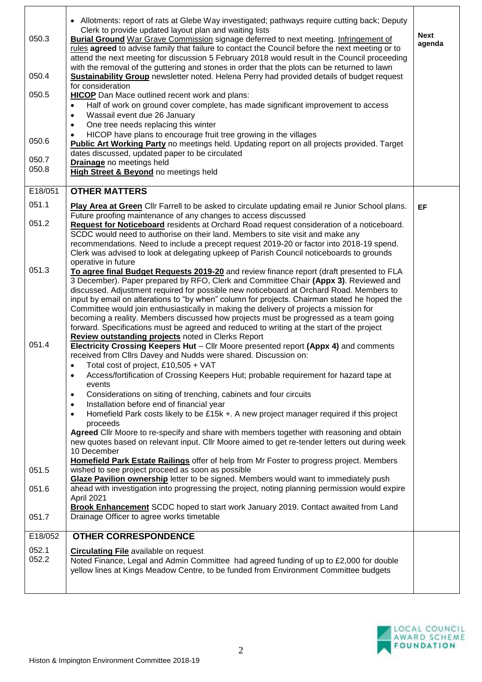| 050.3          | • Allotments: report of rats at Glebe Way investigated; pathways require cutting back; Deputy<br>Clerk to provide updated layout plan and waiting lists<br><b>Burial Ground</b> War Grave Commission signage deferred to next meeting. Infringement of<br>rules agreed to advise family that failure to contact the Council before the next meeting or to | <b>Next</b><br>agenda |
|----------------|-----------------------------------------------------------------------------------------------------------------------------------------------------------------------------------------------------------------------------------------------------------------------------------------------------------------------------------------------------------|-----------------------|
| 050.4          | attend the next meeting for discussion 5 February 2018 would result in the Council proceeding<br>with the removal of the guttering and stones in order that the plots can be returned to lawn<br><b>Sustainability Group</b> newsletter noted. Helena Perry had provided details of budget request                                                        |                       |
| 050.5          | for consideration<br><b>HICOP</b> Dan Mace outlined recent work and plans:                                                                                                                                                                                                                                                                                |                       |
|                | Half of work on ground cover complete, has made significant improvement to access<br>$\bullet$<br>Wassail event due 26 January<br>$\bullet$<br>One tree needs replacing this winter<br>$\bullet$                                                                                                                                                          |                       |
| 050.6          | HICOP have plans to encourage fruit tree growing in the villages<br><b>Public Art Working Party</b> no meetings held. Updating report on all projects provided. Target<br>dates discussed, updated paper to be circulated                                                                                                                                 |                       |
| 050.7<br>050.8 | <b>Drainage</b> no meetings held<br>High Street & Beyond no meetings held                                                                                                                                                                                                                                                                                 |                       |
| E18/051        | <b>OTHER MATTERS</b>                                                                                                                                                                                                                                                                                                                                      |                       |
| 051.1          | Play Area at Green Cllr Farrell to be asked to circulate updating email re Junior School plans.                                                                                                                                                                                                                                                           | EF                    |
| 051.2          | Future proofing maintenance of any changes to access discussed<br>Request for Noticeboard residents at Orchard Road request consideration of a noticeboard.                                                                                                                                                                                               |                       |
|                | SCDC would need to authorise on their land. Members to site visit and make any<br>recommendations. Need to include a precept request 2019-20 or factor into 2018-19 spend.                                                                                                                                                                                |                       |
|                | Clerk was advised to look at delegating upkeep of Parish Council noticeboards to grounds                                                                                                                                                                                                                                                                  |                       |
| 051.3          | operative in future<br>To agree final Budget Requests 2019-20 and review finance report (draft presented to FLA                                                                                                                                                                                                                                           |                       |
|                | 3 December). Paper prepared by RFO, Clerk and Committee Chair (Appx 3). Reviewed and<br>discussed. Adjustment required for possible new noticeboard at Orchard Road. Members to                                                                                                                                                                           |                       |
|                | input by email on alterations to "by when" column for projects. Chairman stated he hoped the<br>Committee would join enthusiastically in making the delivery of projects a mission for                                                                                                                                                                    |                       |
|                | becoming a reality. Members discussed how projects must be progressed as a team going<br>forward. Specifications must be agreed and reduced to writing at the start of the project<br>Review outstanding projects noted in Clerks Report                                                                                                                  |                       |
| 051.4          | Electricity Crossing Keepers Hut - Cllr Moore presented report (Appx 4) and comments                                                                                                                                                                                                                                                                      |                       |
|                | received from Cllrs Davey and Nudds were shared. Discussion on:<br>Total cost of project. £10.505 + $VAT$                                                                                                                                                                                                                                                 |                       |
|                | Access/fortification of Crossing Keepers Hut; probable requirement for hazard tape at<br>$\bullet$<br>events                                                                                                                                                                                                                                              |                       |
|                | Considerations on siting of trenching, cabinets and four circuits<br>$\bullet$                                                                                                                                                                                                                                                                            |                       |
|                | Installation before end of financial year<br>$\bullet$<br>Homefield Park costs likely to be £15k +. A new project manager required if this project<br>$\bullet$                                                                                                                                                                                           |                       |
|                | proceeds<br>Agreed Cllr Moore to re-specify and share with members together with reasoning and obtain                                                                                                                                                                                                                                                     |                       |
|                | new quotes based on relevant input. Cllr Moore aimed to get re-tender letters out during week<br>10 December                                                                                                                                                                                                                                              |                       |
|                | Homefield Park Estate Railings offer of help from Mr Foster to progress project. Members                                                                                                                                                                                                                                                                  |                       |
| 051.5          | wished to see project proceed as soon as possible<br>Glaze Pavilion ownership letter to be signed. Members would want to immediately push                                                                                                                                                                                                                 |                       |
| 051.6          | ahead with investigation into progressing the project, noting planning permission would expire<br>April 2021                                                                                                                                                                                                                                              |                       |
| 051.7          | <b>Brook Enhancement</b> SCDC hoped to start work January 2019. Contact awaited from Land<br>Drainage Officer to agree works timetable                                                                                                                                                                                                                    |                       |
| E18/052        | <b>OTHER CORRESPONDENCE</b>                                                                                                                                                                                                                                                                                                                               |                       |
| 052.1<br>052.2 | <b>Circulating File</b> available on request<br>Noted Finance, Legal and Admin Committee had agreed funding of up to £2,000 for double<br>yellow lines at Kings Meadow Centre, to be funded from Environment Committee budgets                                                                                                                            |                       |
|                |                                                                                                                                                                                                                                                                                                                                                           |                       |